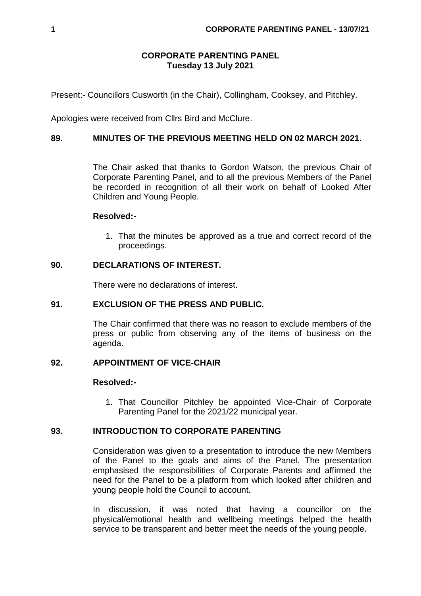# **CORPORATE PARENTING PANEL Tuesday 13 July 2021**

Present:- Councillors Cusworth (in the Chair), Collingham, Cooksey, and Pitchley.

Apologies were received from Cllrs Bird and McClure.

# **89. MINUTES OF THE PREVIOUS MEETING HELD ON 02 MARCH 2021.**

The Chair asked that thanks to Gordon Watson, the previous Chair of Corporate Parenting Panel, and to all the previous Members of the Panel be recorded in recognition of all their work on behalf of Looked After Children and Young People.

## **Resolved:-**

1. That the minutes be approved as a true and correct record of the proceedings.

## **90. DECLARATIONS OF INTEREST.**

There were no declarations of interest.

## **91. EXCLUSION OF THE PRESS AND PUBLIC.**

The Chair confirmed that there was no reason to exclude members of the press or public from observing any of the items of business on the agenda.

# **92. APPOINTMENT OF VICE-CHAIR**

#### **Resolved:-**

1. That Councillor Pitchley be appointed Vice-Chair of Corporate Parenting Panel for the 2021/22 municipal year.

## **93. INTRODUCTION TO CORPORATE PARENTING**

Consideration was given to a presentation to introduce the new Members of the Panel to the goals and aims of the Panel. The presentation emphasised the responsibilities of Corporate Parents and affirmed the need for the Panel to be a platform from which looked after children and young people hold the Council to account.

In discussion, it was noted that having a councillor on the physical/emotional health and wellbeing meetings helped the health service to be transparent and better meet the needs of the young people.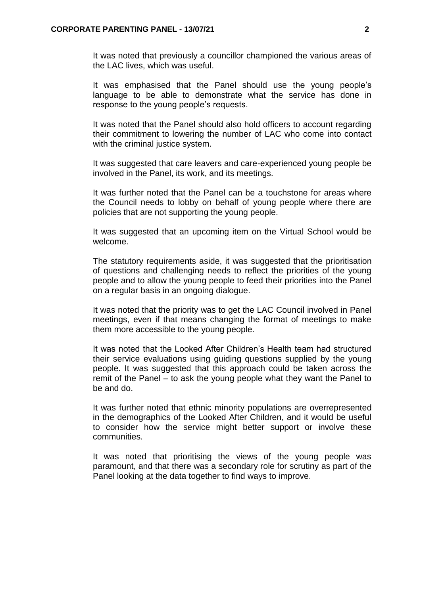It was noted that previously a councillor championed the various areas of the LAC lives, which was useful.

It was emphasised that the Panel should use the young people's language to be able to demonstrate what the service has done in response to the young people's requests.

It was noted that the Panel should also hold officers to account regarding their commitment to lowering the number of LAC who come into contact with the criminal justice system.

It was suggested that care leavers and care-experienced young people be involved in the Panel, its work, and its meetings.

It was further noted that the Panel can be a touchstone for areas where the Council needs to lobby on behalf of young people where there are policies that are not supporting the young people.

It was suggested that an upcoming item on the Virtual School would be welcome.

The statutory requirements aside, it was suggested that the prioritisation of questions and challenging needs to reflect the priorities of the young people and to allow the young people to feed their priorities into the Panel on a regular basis in an ongoing dialogue.

It was noted that the priority was to get the LAC Council involved in Panel meetings, even if that means changing the format of meetings to make them more accessible to the young people.

It was noted that the Looked After Children's Health team had structured their service evaluations using guiding questions supplied by the young people. It was suggested that this approach could be taken across the remit of the Panel – to ask the young people what they want the Panel to be and do.

It was further noted that ethnic minority populations are overrepresented in the demographics of the Looked After Children, and it would be useful to consider how the service might better support or involve these communities.

It was noted that prioritising the views of the young people was paramount, and that there was a secondary role for scrutiny as part of the Panel looking at the data together to find ways to improve.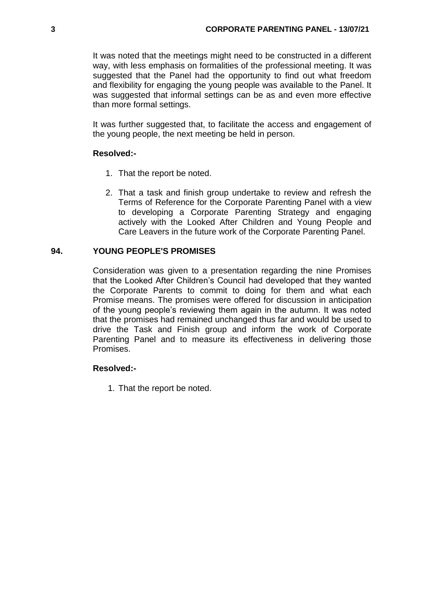It was noted that the meetings might need to be constructed in a different way, with less emphasis on formalities of the professional meeting. It was suggested that the Panel had the opportunity to find out what freedom and flexibility for engaging the young people was available to the Panel. It was suggested that informal settings can be as and even more effective than more formal settings.

It was further suggested that, to facilitate the access and engagement of the young people, the next meeting be held in person.

## **Resolved:-**

- 1. That the report be noted.
- 2. That a task and finish group undertake to review and refresh the Terms of Reference for the Corporate Parenting Panel with a view to developing a Corporate Parenting Strategy and engaging actively with the Looked After Children and Young People and Care Leavers in the future work of the Corporate Parenting Panel.

### **94. YOUNG PEOPLE'S PROMISES**

Consideration was given to a presentation regarding the nine Promises that the Looked After Children's Council had developed that they wanted the Corporate Parents to commit to doing for them and what each Promise means. The promises were offered for discussion in anticipation of the young people's reviewing them again in the autumn. It was noted that the promises had remained unchanged thus far and would be used to drive the Task and Finish group and inform the work of Corporate Parenting Panel and to measure its effectiveness in delivering those Promises.

#### **Resolved:-**

1. That the report be noted.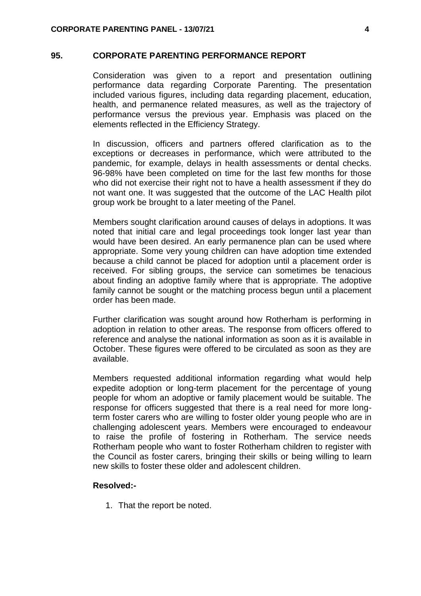#### **95. CORPORATE PARENTING PERFORMANCE REPORT**

Consideration was given to a report and presentation outlining performance data regarding Corporate Parenting. The presentation included various figures, including data regarding placement, education, health, and permanence related measures, as well as the trajectory of performance versus the previous year. Emphasis was placed on the elements reflected in the Efficiency Strategy.

In discussion, officers and partners offered clarification as to the exceptions or decreases in performance, which were attributed to the pandemic, for example, delays in health assessments or dental checks. 96-98% have been completed on time for the last few months for those who did not exercise their right not to have a health assessment if they do not want one. It was suggested that the outcome of the LAC Health pilot group work be brought to a later meeting of the Panel.

Members sought clarification around causes of delays in adoptions. It was noted that initial care and legal proceedings took longer last year than would have been desired. An early permanence plan can be used where appropriate. Some very young children can have adoption time extended because a child cannot be placed for adoption until a placement order is received. For sibling groups, the service can sometimes be tenacious about finding an adoptive family where that is appropriate. The adoptive family cannot be sought or the matching process begun until a placement order has been made.

Further clarification was sought around how Rotherham is performing in adoption in relation to other areas. The response from officers offered to reference and analyse the national information as soon as it is available in October. These figures were offered to be circulated as soon as they are available.

Members requested additional information regarding what would help expedite adoption or long-term placement for the percentage of young people for whom an adoptive or family placement would be suitable. The response for officers suggested that there is a real need for more longterm foster carers who are willing to foster older young people who are in challenging adolescent years. Members were encouraged to endeavour to raise the profile of fostering in Rotherham. The service needs Rotherham people who want to foster Rotherham children to register with the Council as foster carers, bringing their skills or being willing to learn new skills to foster these older and adolescent children.

#### **Resolved:-**

1. That the report be noted.